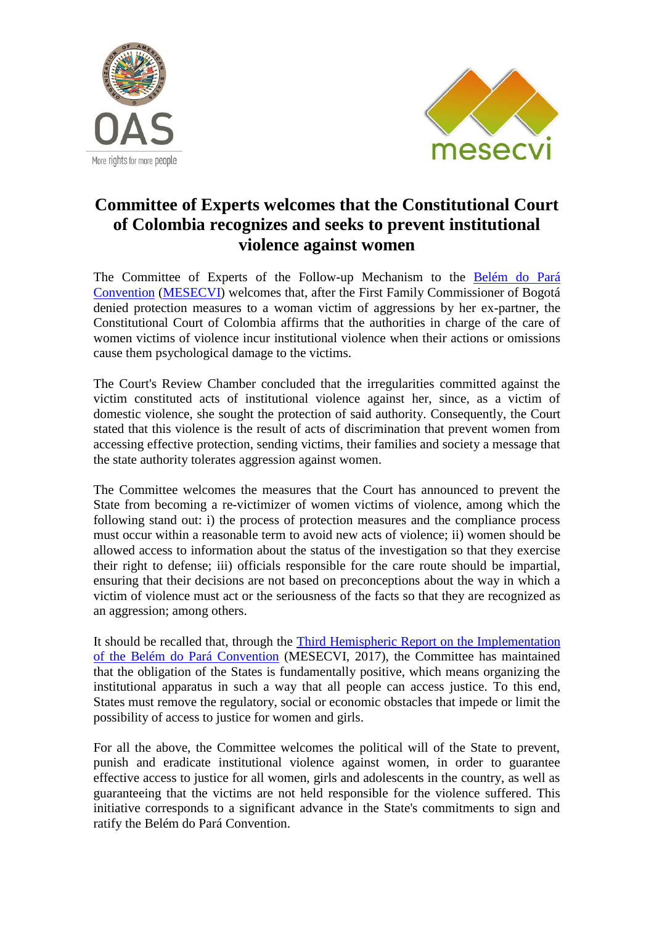



## **Committee of Experts welcomes that the Constitutional Court of Colombia recognizes and seeks to prevent institutional violence against women**

The Committee of Experts of the Follow-up Mechanism to the [Belém do Pará](http://www.oas.org/en/mesecvi/docs/BelemDoPara-ENGLISH.pdf) [Convention](http://www.oas.org/en/mesecvi/docs/BelemDoPara-ENGLISH.pdf) [\(MESECVI\)](http://www.oas.org/en/mesecvi/about.asp) welcomes that, after the First Family Commissioner of Bogotá denied protection measures to a woman victim of aggressions by her ex-partner, the Constitutional Court of Colombia affirms that the authorities in charge of the care of women victims of violence incur institutional violence when their actions or omissions cause them psychological damage to the victims.

The Court's Review Chamber concluded that the irregularities committed against the victim constituted acts of institutional violence against her, since, as a victim of domestic violence, she sought the protection of said authority. Consequently, the Court stated that this violence is the result of acts of discrimination that prevent women from accessing effective protection, sending victims, their families and society a message that the state authority tolerates aggression against women.

The Committee welcomes the measures that the Court has announced to prevent the State from becoming a re-victimizer of women victims of violence, among which the following stand out: i) the process of protection measures and the compliance process must occur within a reasonable term to avoid new acts of violence; ii) women should be allowed access to information about the status of the investigation so that they exercise their right to defense; iii) officials responsible for the care route should be impartial, ensuring that their decisions are not based on preconceptions about the way in which a victim of violence must act or the seriousness of the facts so that they are recognized as an aggression; among others.

It should be recalled that, through the **Third Hemispheric Report on the Implementation** [of the Belém do Pará](http://www.oas.org/en/mesecvi/docs/TercerInformeHemisferico-EN.pdf) Convention (MESECVI, 2017), the Committee has maintained that the obligation of the States is fundamentally positive, which means organizing the institutional apparatus in such a way that all people can access justice. To this end, States must remove the regulatory, social or economic obstacles that impede or limit the possibility of access to justice for women and girls.

For all the above, the Committee welcomes the political will of the State to prevent, punish and eradicate institutional violence against women, in order to guarantee effective access to justice for all women, girls and adolescents in the country, as well as guaranteeing that the victims are not held responsible for the violence suffered. This initiative corresponds to a significant advance in the State's commitments to sign and ratify the Belém do Pará Convention.